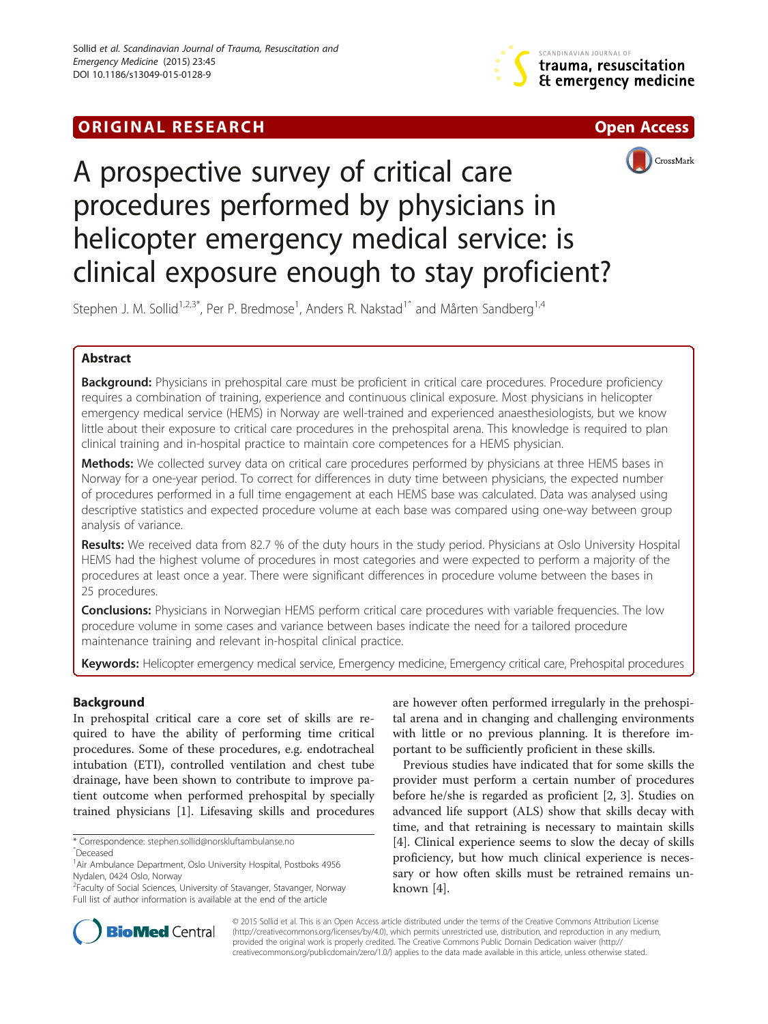# **ORIGINAL RESEARCH CHARGE ACCESS** Open Access







# A prospective survey of critical care procedures performed by physicians in helicopter emergency medical service: is clinical exposure enough to stay proficient?

Stephen J. M. Sollid<sup>1,2,3\*</sup>, Per P. Bredmose<sup>1</sup>, Anders R. Nakstad<sup>1^</sup> and Mårten Sandberg<sup>1,4</sup>

# Abstract

**Background:** Physicians in prehospital care must be proficient in critical care procedures. Procedure proficiency requires a combination of training, experience and continuous clinical exposure. Most physicians in helicopter emergency medical service (HEMS) in Norway are well-trained and experienced anaesthesiologists, but we know little about their exposure to critical care procedures in the prehospital arena. This knowledge is required to plan clinical training and in-hospital practice to maintain core competences for a HEMS physician.

Methods: We collected survey data on critical care procedures performed by physicians at three HEMS bases in Norway for a one-year period. To correct for differences in duty time between physicians, the expected number of procedures performed in a full time engagement at each HEMS base was calculated. Data was analysed using descriptive statistics and expected procedure volume at each base was compared using one-way between group analysis of variance.

Results: We received data from 82.7 % of the duty hours in the study period. Physicians at Oslo University Hospital HEMS had the highest volume of procedures in most categories and were expected to perform a majority of the procedures at least once a year. There were significant differences in procedure volume between the bases in 25 procedures.

**Conclusions:** Physicians in Norwegian HEMS perform critical care procedures with variable frequencies. The low procedure volume in some cases and variance between bases indicate the need for a tailored procedure maintenance training and relevant in-hospital clinical practice.

Keywords: Helicopter emergency medical service, Emergency medicine, Emergency critical care, Prehospital procedures

# Background

In prehospital critical care a core set of skills are required to have the ability of performing time critical procedures. Some of these procedures, e.g. endotracheal intubation (ETI), controlled ventilation and chest tube drainage, have been shown to contribute to improve patient outcome when performed prehospital by specially trained physicians [\[1](#page-7-0)]. Lifesaving skills and procedures

are however often performed irregularly in the prehospital arena and in changing and challenging environments with little or no previous planning. It is therefore important to be sufficiently proficient in these skills.

Previous studies have indicated that for some skills the provider must perform a certain number of procedures before he/she is regarded as proficient [[2, 3](#page-7-0)]. Studies on advanced life support (ALS) show that skills decay with time, and that retraining is necessary to maintain skills [[4\]](#page-7-0). Clinical experience seems to slow the decay of skills proficiency, but how much clinical experience is necessary or how often skills must be retrained remains unknown [[4](#page-7-0)].



© 2015 Sollid et al. This is an Open Access article distributed under the terms of the Creative Commons Attribution License [\(http://creativecommons.org/licenses/by/4.0\)](http://creativecommons.org/licenses/by/4.0), which permits unrestricted use, distribution, and reproduction in any medium, provided the original work is properly credited. The Creative Commons Public Domain Dedication waiver [\(http://](http://creativecommons.org/publicdomain/zero/1.0/) [creativecommons.org/publicdomain/zero/1.0/\)](http://creativecommons.org/publicdomain/zero/1.0/) applies to the data made available in this article, unless otherwise stated.

<sup>\*</sup> Correspondence: [stephen.sollid@norskluftambulanse.no](mailto:stephen.sollid@norskluftambulanse.no) <sup>ˆ</sup>Deceased

<sup>&</sup>lt;sup>1</sup> Air Ambulance Department, Oslo University Hospital, Postboks 4956 Nydalen, 0424 Oslo, Norway

<sup>&</sup>lt;sup>2</sup>Faculty of Social Sciences, University of Stavanger, Stavanger, Norway Full list of author information is available at the end of the article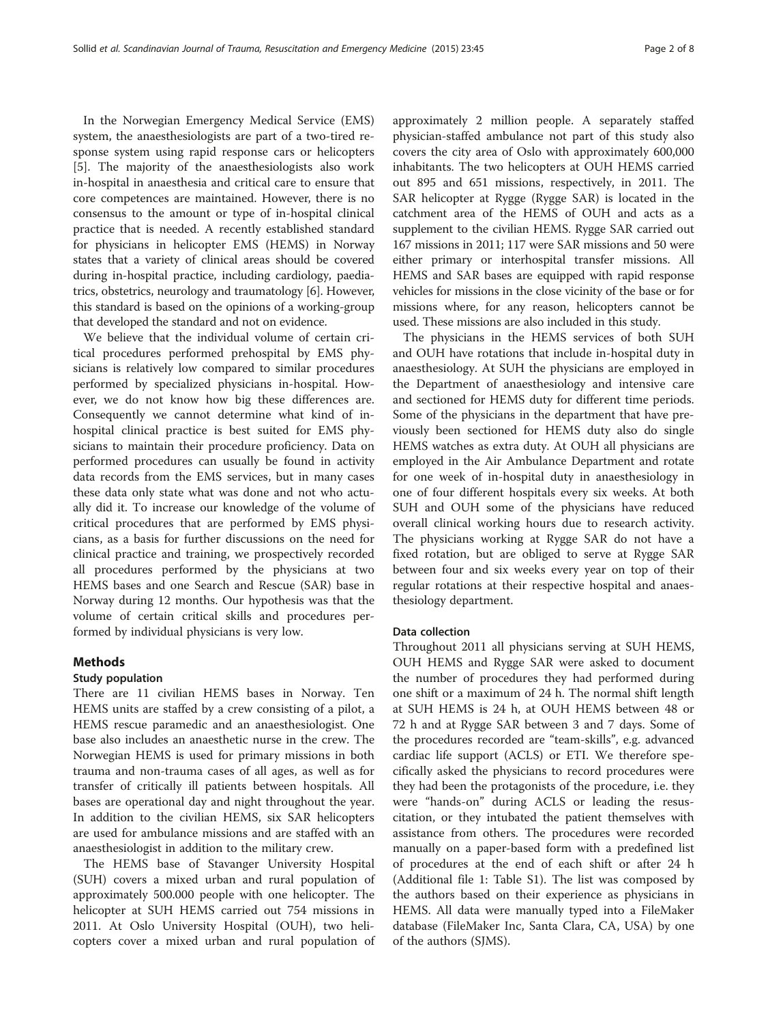In the Norwegian Emergency Medical Service (EMS) system, the anaesthesiologists are part of a two-tired response system using rapid response cars or helicopters [[5\]](#page-7-0). The majority of the anaesthesiologists also work in-hospital in anaesthesia and critical care to ensure that core competences are maintained. However, there is no consensus to the amount or type of in-hospital clinical practice that is needed. A recently established standard for physicians in helicopter EMS (HEMS) in Norway states that a variety of clinical areas should be covered during in-hospital practice, including cardiology, paediatrics, obstetrics, neurology and traumatology [[6](#page-7-0)]. However, this standard is based on the opinions of a working-group that developed the standard and not on evidence.

We believe that the individual volume of certain critical procedures performed prehospital by EMS physicians is relatively low compared to similar procedures performed by specialized physicians in-hospital. However, we do not know how big these differences are. Consequently we cannot determine what kind of inhospital clinical practice is best suited for EMS physicians to maintain their procedure proficiency. Data on performed procedures can usually be found in activity data records from the EMS services, but in many cases these data only state what was done and not who actually did it. To increase our knowledge of the volume of critical procedures that are performed by EMS physicians, as a basis for further discussions on the need for clinical practice and training, we prospectively recorded all procedures performed by the physicians at two HEMS bases and one Search and Rescue (SAR) base in Norway during 12 months. Our hypothesis was that the volume of certain critical skills and procedures performed by individual physicians is very low.

## Methods

#### Study population

There are 11 civilian HEMS bases in Norway. Ten HEMS units are staffed by a crew consisting of a pilot, a HEMS rescue paramedic and an anaesthesiologist. One base also includes an anaesthetic nurse in the crew. The Norwegian HEMS is used for primary missions in both trauma and non-trauma cases of all ages, as well as for transfer of critically ill patients between hospitals. All bases are operational day and night throughout the year. In addition to the civilian HEMS, six SAR helicopters are used for ambulance missions and are staffed with an anaesthesiologist in addition to the military crew.

The HEMS base of Stavanger University Hospital (SUH) covers a mixed urban and rural population of approximately 500.000 people with one helicopter. The helicopter at SUH HEMS carried out 754 missions in 2011. At Oslo University Hospital (OUH), two helicopters cover a mixed urban and rural population of approximately 2 million people. A separately staffed physician-staffed ambulance not part of this study also covers the city area of Oslo with approximately 600,000 inhabitants. The two helicopters at OUH HEMS carried out 895 and 651 missions, respectively, in 2011. The SAR helicopter at Rygge (Rygge SAR) is located in the catchment area of the HEMS of OUH and acts as a supplement to the civilian HEMS. Rygge SAR carried out 167 missions in 2011; 117 were SAR missions and 50 were either primary or interhospital transfer missions. All HEMS and SAR bases are equipped with rapid response vehicles for missions in the close vicinity of the base or for missions where, for any reason, helicopters cannot be used. These missions are also included in this study.

The physicians in the HEMS services of both SUH and OUH have rotations that include in-hospital duty in anaesthesiology. At SUH the physicians are employed in the Department of anaesthesiology and intensive care and sectioned for HEMS duty for different time periods. Some of the physicians in the department that have previously been sectioned for HEMS duty also do single HEMS watches as extra duty. At OUH all physicians are employed in the Air Ambulance Department and rotate for one week of in-hospital duty in anaesthesiology in one of four different hospitals every six weeks. At both SUH and OUH some of the physicians have reduced overall clinical working hours due to research activity. The physicians working at Rygge SAR do not have a fixed rotation, but are obliged to serve at Rygge SAR between four and six weeks every year on top of their regular rotations at their respective hospital and anaesthesiology department.

#### Data collection

Throughout 2011 all physicians serving at SUH HEMS, OUH HEMS and Rygge SAR were asked to document the number of procedures they had performed during one shift or a maximum of 24 h. The normal shift length at SUH HEMS is 24 h, at OUH HEMS between 48 or 72 h and at Rygge SAR between 3 and 7 days. Some of the procedures recorded are "team-skills", e.g. advanced cardiac life support (ACLS) or ETI. We therefore specifically asked the physicians to record procedures were they had been the protagonists of the procedure, i.e. they were "hands-on" during ACLS or leading the resuscitation, or they intubated the patient themselves with assistance from others. The procedures were recorded manually on a paper-based form with a predefined list of procedures at the end of each shift or after 24 h (Additional file [1](#page-7-0): Table S1). The list was composed by the authors based on their experience as physicians in HEMS. All data were manually typed into a FileMaker database (FileMaker Inc, Santa Clara, CA, USA) by one of the authors (SJMS).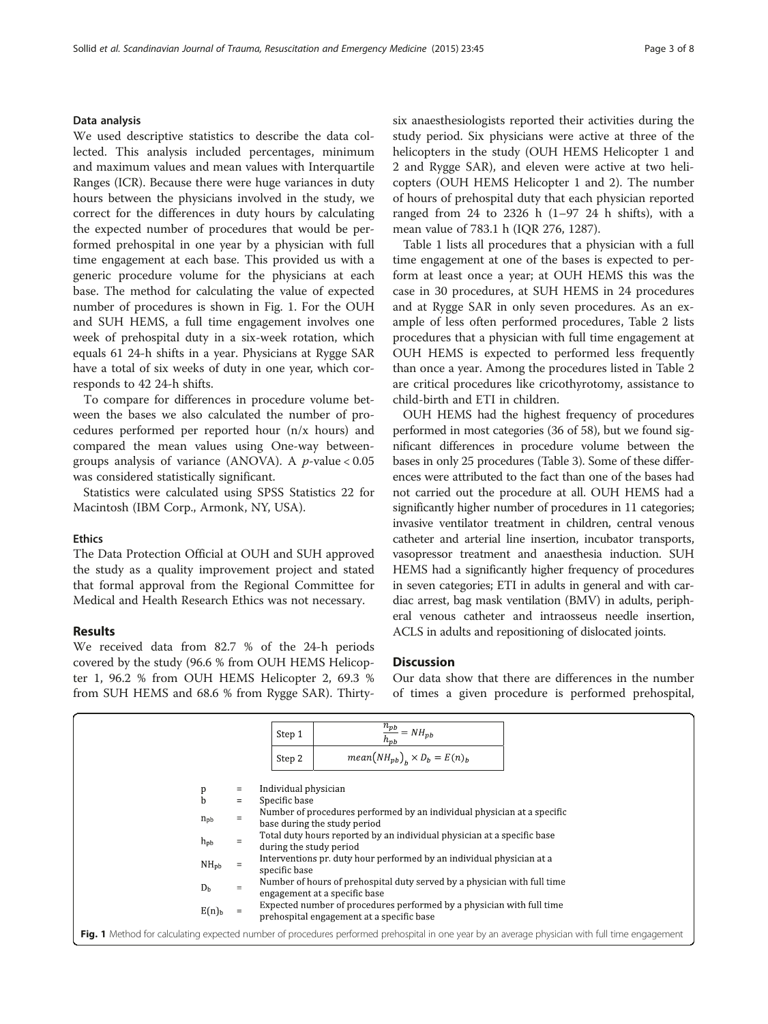#### Data analysis

We used descriptive statistics to describe the data collected. This analysis included percentages, minimum and maximum values and mean values with Interquartile Ranges (ICR). Because there were huge variances in duty hours between the physicians involved in the study, we correct for the differences in duty hours by calculating the expected number of procedures that would be performed prehospital in one year by a physician with full time engagement at each base. This provided us with a generic procedure volume for the physicians at each base. The method for calculating the value of expected number of procedures is shown in Fig. 1. For the OUH and SUH HEMS, a full time engagement involves one week of prehospital duty in a six-week rotation, which equals 61 24-h shifts in a year. Physicians at Rygge SAR have a total of six weeks of duty in one year, which corresponds to 42 24-h shifts.

To compare for differences in procedure volume between the bases we also calculated the number of procedures performed per reported hour (n/x hours) and compared the mean values using One-way betweengroups analysis of variance (ANOVA). A  $p$ -value < 0.05 was considered statistically significant.

Statistics were calculated using SPSS Statistics 22 for Macintosh (IBM Corp., Armonk, NY, USA).

#### Ethics

The Data Protection Official at OUH and SUH approved the study as a quality improvement project and stated that formal approval from the Regional Committee for Medical and Health Research Ethics was not necessary.

## Results

We received data from 82.7 % of the 24-h periods covered by the study (96.6 % from OUH HEMS Helicopter 1, 96.2 % from OUH HEMS Helicopter 2, 69.3 % from SUH HEMS and 68.6 % from Rygge SAR). Thirtysix anaesthesiologists reported their activities during the study period. Six physicians were active at three of the helicopters in the study (OUH HEMS Helicopter 1 and 2 and Rygge SAR), and eleven were active at two helicopters (OUH HEMS Helicopter 1 and 2). The number of hours of prehospital duty that each physician reported ranged from 24 to 2326 h (1–97 24 h shifts), with a mean value of 783.1 h (IQR 276, 1287).

Table [1](#page-3-0) lists all procedures that a physician with a full time engagement at one of the bases is expected to perform at least once a year; at OUH HEMS this was the case in 30 procedures, at SUH HEMS in 24 procedures and at Rygge SAR in only seven procedures. As an example of less often performed procedures, Table [2](#page-4-0) lists procedures that a physician with full time engagement at OUH HEMS is expected to performed less frequently than once a year. Among the procedures listed in Table [2](#page-4-0) are critical procedures like cricothyrotomy, assistance to child-birth and ETI in children.

OUH HEMS had the highest frequency of procedures performed in most categories (36 of 58), but we found significant differences in procedure volume between the bases in only 25 procedures (Table [3\)](#page-5-0). Some of these differences were attributed to the fact than one of the bases had not carried out the procedure at all. OUH HEMS had a significantly higher number of procedures in 11 categories; invasive ventilator treatment in children, central venous catheter and arterial line insertion, incubator transports, vasopressor treatment and anaesthesia induction. SUH HEMS had a significantly higher frequency of procedures in seven categories; ETI in adults in general and with cardiac arrest, bag mask ventilation (BMV) in adults, peripheral venous catheter and intraosseus needle insertion, ACLS in adults and repositioning of dislocated joints.

## **Discussion**

Our data show that there are differences in the number of times a given procedure is performed prehospital,

|                                                                                                                                |  |                      | $\frac{n_{pb}}{m} = NH_{pb}$<br>Step 1<br>$h_{pb}$                                                                                                                                                  |  |  |  |  |  |  |  |  |
|--------------------------------------------------------------------------------------------------------------------------------|--|----------------------|-----------------------------------------------------------------------------------------------------------------------------------------------------------------------------------------------------|--|--|--|--|--|--|--|--|
|                                                                                                                                |  |                      | $mean(NH_{pb})$ <sub>h</sub> $\times D_b = E(n)_b$<br>Step 2                                                                                                                                        |  |  |  |  |  |  |  |  |
|                                                                                                                                |  |                      |                                                                                                                                                                                                     |  |  |  |  |  |  |  |  |
| p                                                                                                                              |  | $=$                  | Individual physician                                                                                                                                                                                |  |  |  |  |  |  |  |  |
| $\mathbf b$                                                                                                                    |  | Specific base<br>$=$ |                                                                                                                                                                                                     |  |  |  |  |  |  |  |  |
| $n_{pb}$                                                                                                                       |  | $=$                  | Number of procedures performed by an individual physician at a specific<br>base during the study period                                                                                             |  |  |  |  |  |  |  |  |
| $h_{pb}$                                                                                                                       |  | $=$                  | Total duty hours reported by an individual physician at a specific base<br>during the study period                                                                                                  |  |  |  |  |  |  |  |  |
| $NH_{pb}$                                                                                                                      |  |                      | Interventions pr. duty hour performed by an individual physician at a<br>specific base<br>Number of hours of prehospital duty served by a physician with full time<br>engagement at a specific base |  |  |  |  |  |  |  |  |
| D <sub>b</sub>                                                                                                                 |  | $=$                  |                                                                                                                                                                                                     |  |  |  |  |  |  |  |  |
| Expected number of procedures performed by a physician with full time<br>$E(n)_b$<br>prehospital engagement at a specific base |  |                      |                                                                                                                                                                                                     |  |  |  |  |  |  |  |  |
|                                                                                                                                |  |                      | Fig. 1 Method for calculating expected number of procedures performed prehospital in one year by an average physician with full time engagement                                                     |  |  |  |  |  |  |  |  |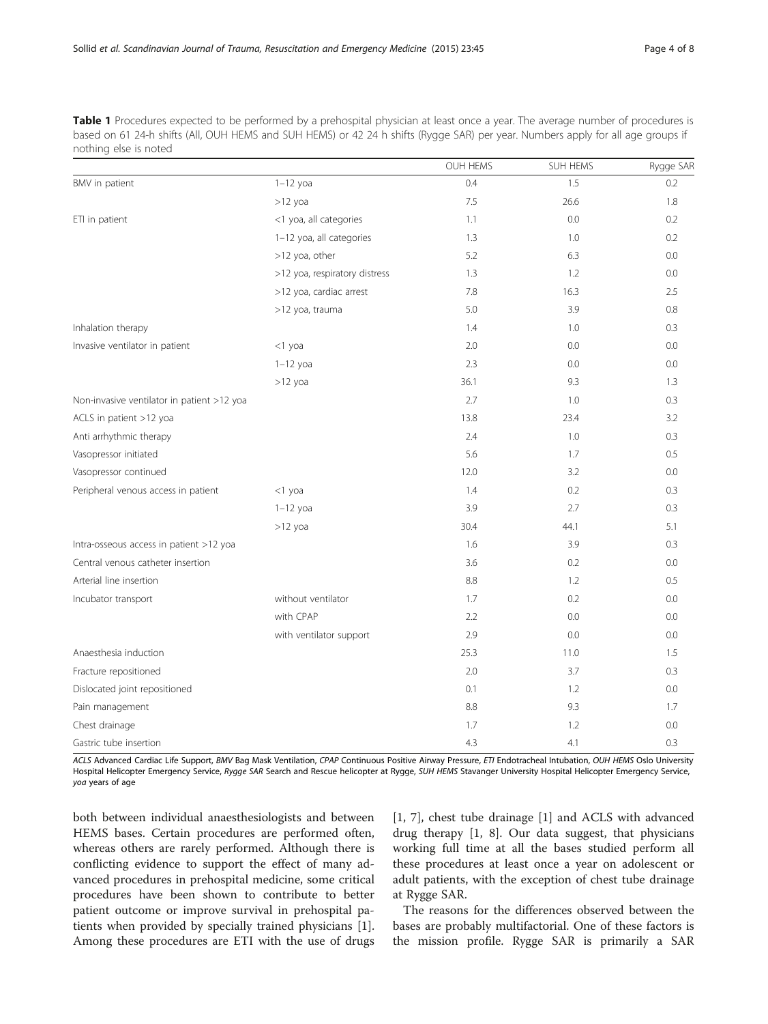| nothing else is noted                      |                               |          |          |           |
|--------------------------------------------|-------------------------------|----------|----------|-----------|
|                                            |                               | OUH HEMS | SUH HEMS | Rygge SAR |
| BMV in patient                             | $1-12$ yoa                    | 0.4      | 1.5      | 0.2       |
|                                            | $>12$ yoa                     | 7.5      | 26.6     | 1.8       |
| ETI in patient                             | <1 yoa, all categories        | 1.1      | 0.0      | 0.2       |
|                                            | 1-12 yoa, all categories      | 1.3      | 1.0      | 0.2       |
|                                            | >12 yoa, other                | 5.2      | 6.3      | 0.0       |
|                                            | >12 yoa, respiratory distress | 1.3      | 1.2      | 0.0       |
|                                            | >12 yoa, cardiac arrest       | 7.8      | 16.3     | 2.5       |
|                                            | >12 yoa, trauma               | 5.0      | 3.9      | 0.8       |
| Inhalation therapy                         |                               | 1.4      | 1.0      | 0.3       |
| Invasive ventilator in patient             | $<$ 1 yoa                     | 2.0      | 0.0      | 0.0       |
|                                            | $1-12$ yoa                    | 2.3      | 0.0      | 0.0       |
|                                            | $>12$ yoa                     | 36.1     | 9.3      | 1.3       |
| Non-invasive ventilator in patient >12 yoa | 2.7                           | 1.0      | 0.3      |           |
| ACLS in patient >12 yoa                    |                               | 13.8     | 23.4     | 3.2       |
| Anti arrhythmic therapy                    |                               | 2.4      | 1.0      | 0.3       |
| Vasopressor initiated                      |                               | 5.6      | 1.7      | 0.5       |
| Vasopressor continued                      |                               | 12.0     | 3.2      | 0.0       |
| Peripheral venous access in patient        | $<$ 1 yoa                     | 1.4      | 0.2      | 0.3       |
|                                            | $1-12$ yoa                    | 3.9      | 2.7      | 0.3       |
|                                            | $>12$ yoa                     | 30.4     | 44.1     | 5.1       |
| Intra-osseous access in patient >12 yoa    |                               | 1.6      | 3.9      | 0.3       |
| Central venous catheter insertion          |                               | 3.6      | 0.2      | 0.0       |
| Arterial line insertion                    |                               | 8.8      | 1.2      | 0.5       |
| Incubator transport                        | without ventilator            | 1.7      | 0.2      | 0.0       |
|                                            | with CPAP                     | 2.2      | 0.0      | 0.0       |
|                                            | with ventilator support       | 2.9      | 0.0      | 0.0       |
| Anaesthesia induction                      |                               | 25.3     | 11.0     | 1.5       |
| Fracture repositioned                      |                               | 2.0      | 3.7      | 0.3       |
| Dislocated joint repositioned              |                               | 0.1      | 1.2      | 0.0       |
| Pain management                            |                               | 8.8      | 9.3      | 1.7       |
| Chest drainage                             |                               | 1.7      | 1.2      | $0.0\,$   |
| Gastric tube insertion                     |                               | 4.3      | 4.1      | 0.3       |

<span id="page-3-0"></span>Table 1 Procedures expected to be performed by a prehospital physician at least once a year. The average number of procedures is based on 61 24-h shifts (All, OUH HEMS and SUH HEMS) or 42 24 h shifts (Rygge SAR) per year. Numbers apply for all age groups if

ACLS Advanced Cardiac Life Support, BMV Bag Mask Ventilation, CPAP Continuous Positive Airway Pressure, ETI Endotracheal Intubation, OUH HEMS Oslo University Hospital Helicopter Emergency Service, Rygge SAR Search and Rescue helicopter at Rygge, SUH HEMS Stavanger University Hospital Helicopter Emergency Service, yoa years of age

both between individual anaesthesiologists and between HEMS bases. Certain procedures are performed often, whereas others are rarely performed. Although there is conflicting evidence to support the effect of many advanced procedures in prehospital medicine, some critical procedures have been shown to contribute to better patient outcome or improve survival in prehospital patients when provided by specially trained physicians [\[1](#page-7-0)]. Among these procedures are ETI with the use of drugs [[1, 7\]](#page-7-0), chest tube drainage [[1\]](#page-7-0) and ACLS with advanced drug therapy [\[1](#page-7-0), [8](#page-7-0)]. Our data suggest, that physicians working full time at all the bases studied perform all these procedures at least once a year on adolescent or adult patients, with the exception of chest tube drainage at Rygge SAR.

The reasons for the differences observed between the bases are probably multifactorial. One of these factors is the mission profile. Rygge SAR is primarily a SAR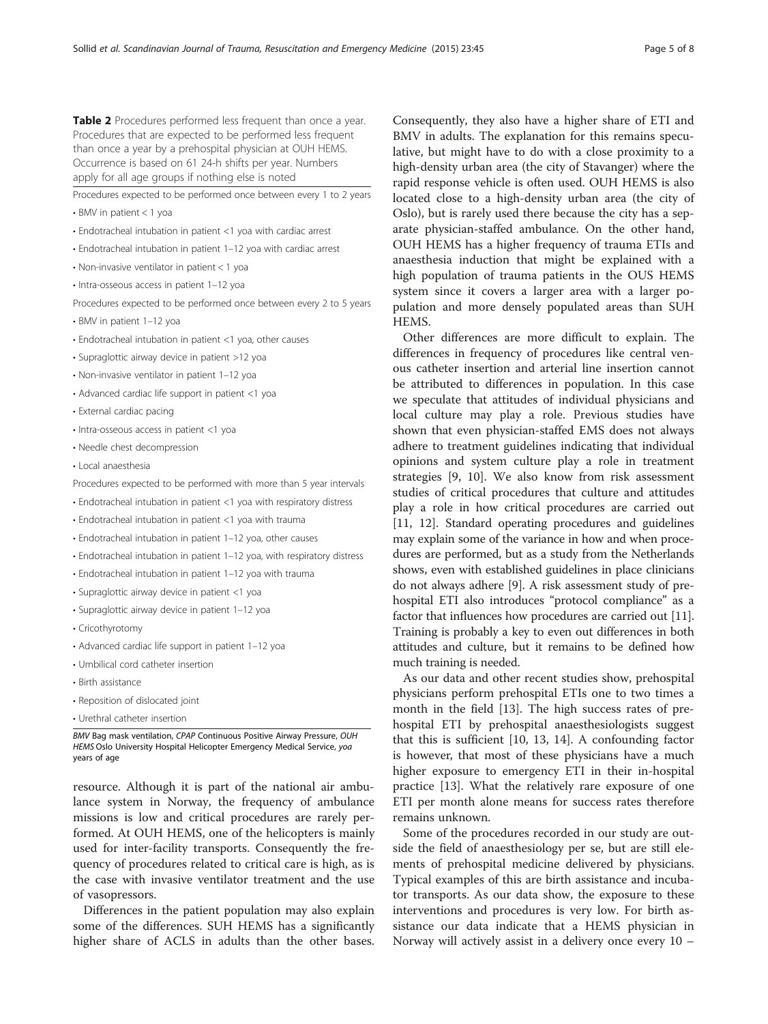<span id="page-4-0"></span>Table 2 Procedures performed less frequent than once a year. Procedures that are expected to be performed less frequent than once a year by a prehospital physician at OUH HEMS. Occurrence is based on 61 24-h shifts per year. Numbers apply for all age groups if nothing else is noted

Procedures expected to be performed once between every 1 to 2 years

- BMV in patient < 1 yoa
- Endotracheal intubation in patient <1 yoa with cardiac arrest
- Endotracheal intubation in patient 1–12 yoa with cardiac arrest
- Non-invasive ventilator in patient < 1 yoa
- Intra-osseous access in patient 1–12 yoa

Procedures expected to be performed once between every 2 to 5 years

- BMV in patient 1–12 yoa
- Endotracheal intubation in patient <1 yoa, other causes
- Supraglottic airway device in patient >12 yoa
- Non-invasive ventilator in patient 1–12 yoa
- Advanced cardiac life support in patient <1 yoa
- External cardiac pacing
- Intra-osseous access in patient <1 yoa
- Needle chest decompression
- Local anaesthesia
- Procedures expected to be performed with more than 5 year intervals
- Endotracheal intubation in patient <1 yoa with respiratory distress
- Endotracheal intubation in patient <1 yoa with trauma
- Endotracheal intubation in patient 1–12 yoa, other causes
- Endotracheal intubation in patient 1–12 yoa, with respiratory distress
- Endotracheal intubation in patient 1–12 yoa with trauma
- Supraglottic airway device in patient <1 yoa
- Supraglottic airway device in patient 1–12 yoa
- Cricothyrotomy
- Advanced cardiac life support in patient 1–12 yoa
- Umbilical cord catheter insertion
- Birth assistance
- Reposition of dislocated joint
- Urethral catheter insertion

BMV Bag mask ventilation, CPAP Continuous Positive Airway Pressure, OUH HEMS Oslo University Hospital Helicopter Emergency Medical Service, yoa years of age

resource. Although it is part of the national air ambulance system in Norway, the frequency of ambulance missions is low and critical procedures are rarely performed. At OUH HEMS, one of the helicopters is mainly used for inter-facility transports. Consequently the frequency of procedures related to critical care is high, as is the case with invasive ventilator treatment and the use of vasopressors.

Differences in the patient population may also explain some of the differences. SUH HEMS has a significantly higher share of ACLS in adults than the other bases.

Consequently, they also have a higher share of ETI and BMV in adults. The explanation for this remains speculative, but might have to do with a close proximity to a high-density urban area (the city of Stavanger) where the rapid response vehicle is often used. OUH HEMS is also located close to a high-density urban area (the city of Oslo), but is rarely used there because the city has a separate physician-staffed ambulance. On the other hand, OUH HEMS has a higher frequency of trauma ETIs and anaesthesia induction that might be explained with a high population of trauma patients in the OUS HEMS system since it covers a larger area with a larger population and more densely populated areas than SUH HEMS.

Other differences are more difficult to explain. The differences in frequency of procedures like central venous catheter insertion and arterial line insertion cannot be attributed to differences in population. In this case we speculate that attitudes of individual physicians and local culture may play a role. Previous studies have shown that even physician-staffed EMS does not always adhere to treatment guidelines indicating that individual opinions and system culture play a role in treatment strategies [[9, 10](#page-7-0)]. We also know from risk assessment studies of critical procedures that culture and attitudes play a role in how critical procedures are carried out [[11, 12\]](#page-7-0). Standard operating procedures and guidelines may explain some of the variance in how and when procedures are performed, but as a study from the Netherlands shows, even with established guidelines in place clinicians do not always adhere [\[9](#page-7-0)]. A risk assessment study of prehospital ETI also introduces "protocol compliance" as a factor that influences how procedures are carried out [[11](#page-7-0)]. Training is probably a key to even out differences in both attitudes and culture, but it remains to be defined how much training is needed.

As our data and other recent studies show, prehospital physicians perform prehospital ETIs one to two times a month in the field [\[13\]](#page-7-0). The high success rates of prehospital ETI by prehospital anaesthesiologists suggest that this is sufficient [[10, 13, 14](#page-7-0)]. A confounding factor is however, that most of these physicians have a much higher exposure to emergency ETI in their in-hospital practice [[13](#page-7-0)]. What the relatively rare exposure of one ETI per month alone means for success rates therefore remains unknown.

Some of the procedures recorded in our study are outside the field of anaesthesiology per se, but are still elements of prehospital medicine delivered by physicians. Typical examples of this are birth assistance and incubator transports. As our data show, the exposure to these interventions and procedures is very low. For birth assistance our data indicate that a HEMS physician in Norway will actively assist in a delivery once every 10 –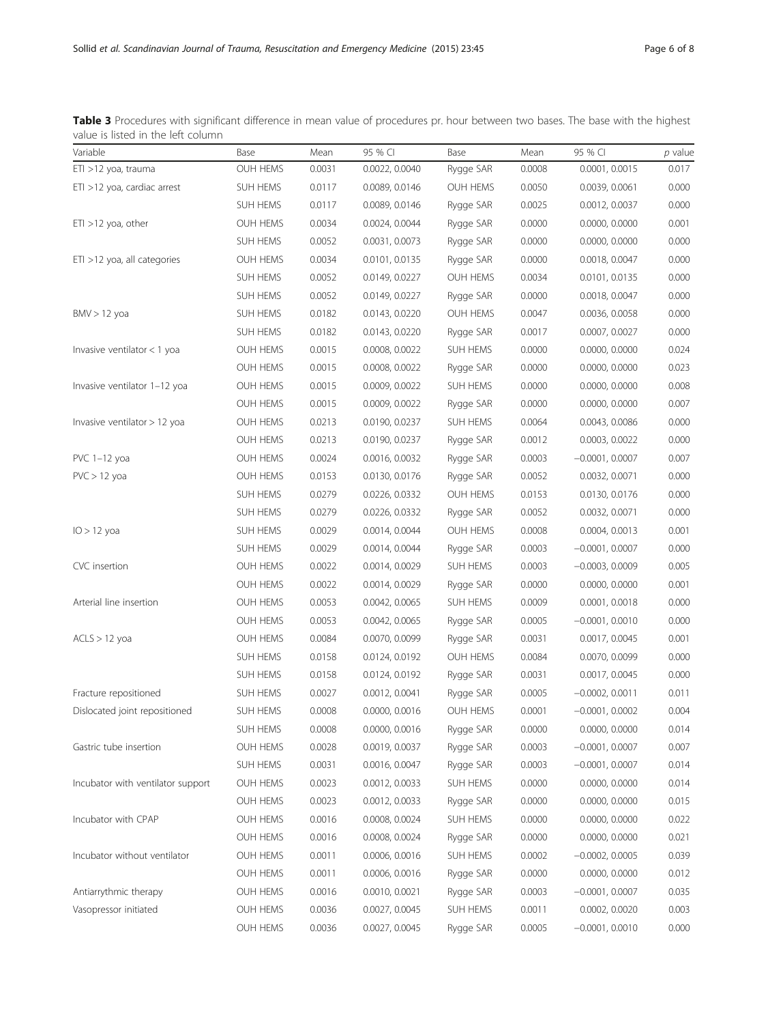<span id="page-5-0"></span>

| Table 3 Procedures with significant difference in mean value of procedures pr. hour between two bases. The base with the highest |  |  |  |  |  |  |
|----------------------------------------------------------------------------------------------------------------------------------|--|--|--|--|--|--|
| value is listed in the left column                                                                                               |  |  |  |  |  |  |

| Variable                          | Base     | Mean   | 95 % CI        | Base      | Mean   | 95 % CI           | $p$ value |
|-----------------------------------|----------|--------|----------------|-----------|--------|-------------------|-----------|
| ETI >12 yoa, trauma               | OUH HEMS | 0.0031 | 0.0022, 0.0040 | Rygge SAR | 0.0008 | 0.0001, 0.0015    | 0.017     |
| ETI >12 yoa, cardiac arrest       | SUH HEMS | 0.0117 | 0.0089, 0.0146 | OUH HEMS  | 0.0050 | 0.0039, 0.0061    | 0.000     |
|                                   | SUH HEMS | 0.0117 | 0.0089, 0.0146 | Rygge SAR | 0.0025 | 0.0012, 0.0037    | 0.000     |
| $ETI > 12$ yoa, other             | OUH HEMS | 0.0034 | 0.0024, 0.0044 | Rygge SAR | 0.0000 | 0.0000, 0.0000    | 0.001     |
|                                   | SUH HEMS | 0.0052 | 0.0031, 0.0073 | Rygge SAR | 0.0000 | 0.0000, 0.0000    | 0.000     |
| $ETI > 12$ yoa, all categories    | OUH HEMS | 0.0034 | 0.0101, 0.0135 | Rygge SAR | 0.0000 | 0.0018, 0.0047    | 0.000     |
|                                   | SUH HEMS | 0.0052 | 0.0149, 0.0227 | OUH HEMS  | 0.0034 | 0.0101, 0.0135    | 0.000     |
|                                   | SUH HEMS | 0.0052 | 0.0149, 0.0227 | Rygge SAR | 0.0000 | 0.0018, 0.0047    | 0.000     |
| $BMV > 12$ yoa                    | SUH HEMS | 0.0182 | 0.0143, 0.0220 | OUH HEMS  | 0.0047 | 0.0036, 0.0058    | 0.000     |
|                                   | SUH HEMS | 0.0182 | 0.0143, 0.0220 | Rygge SAR | 0.0017 | 0.0007, 0.0027    | 0.000     |
| Invasive ventilator $<$ 1 yoa     | OUH HEMS | 0.0015 | 0.0008, 0.0022 | SUH HEMS  | 0.0000 | 0.0000, 0.0000    | 0.024     |
|                                   | OUH HEMS | 0.0015 | 0.0008, 0.0022 | Rygge SAR | 0.0000 | 0.0000, 0.0000    | 0.023     |
| Invasive ventilator 1-12 yoa      | OUH HEMS | 0.0015 | 0.0009, 0.0022 | SUH HEMS  | 0.0000 | 0.0000, 0.0000    | 0.008     |
|                                   | OUH HEMS | 0.0015 | 0.0009, 0.0022 | Rygge SAR | 0.0000 | 0.0000, 0.0000    | 0.007     |
| Invasive ventilator $> 12$ yoa    | OUH HEMS | 0.0213 | 0.0190, 0.0237 | SUH HEMS  | 0.0064 | 0.0043, 0.0086    | 0.000     |
|                                   | OUH HEMS | 0.0213 | 0.0190, 0.0237 | Rygge SAR | 0.0012 | 0.0003, 0.0022    | 0.000     |
| PVC 1-12 yoa                      | OUH HEMS | 0.0024 | 0.0016, 0.0032 | Rygge SAR | 0.0003 | $-0.0001, 0.0007$ | 0.007     |
| $PVC > 12$ yoa                    | OUH HEMS | 0.0153 | 0.0130, 0.0176 | Rygge SAR | 0.0052 | 0.0032, 0.0071    | 0.000     |
|                                   | SUH HEMS | 0.0279 | 0.0226, 0.0332 | OUH HEMS  | 0.0153 | 0.0130, 0.0176    | 0.000     |
|                                   | SUH HEMS | 0.0279 | 0.0226, 0.0332 | Rygge SAR | 0.0052 | 0.0032, 0.0071    | 0.000     |
| $IO > 12$ yoa                     | SUH HEMS | 0.0029 | 0.0014, 0.0044 | OUH HEMS  | 0.0008 | 0.0004, 0.0013    | 0.001     |
|                                   | SUH HEMS | 0.0029 | 0.0014, 0.0044 | Rygge SAR | 0.0003 | $-0.0001, 0.0007$ | 0.000     |
| CVC insertion                     | OUH HEMS | 0.0022 | 0.0014, 0.0029 | SUH HEMS  | 0.0003 | $-0.0003, 0.0009$ | 0.005     |
|                                   | OUH HEMS | 0.0022 | 0.0014, 0.0029 | Rygge SAR | 0.0000 | 0.0000, 0.0000    | 0.001     |
| Arterial line insertion           | OUH HEMS | 0.0053 | 0.0042, 0.0065 | SUH HEMS  | 0.0009 | 0.0001, 0.0018    | 0.000     |
|                                   | OUH HEMS | 0.0053 | 0.0042, 0.0065 | Rygge SAR | 0.0005 | $-0.0001, 0.0010$ | 0.000     |
| $ACLS > 12$ yoa                   | OUH HEMS | 0.0084 | 0.0070, 0.0099 | Rygge SAR | 0.0031 | 0.0017, 0.0045    | 0.001     |
|                                   | SUH HEMS | 0.0158 | 0.0124, 0.0192 | OUH HEMS  | 0.0084 | 0.0070, 0.0099    | 0.000     |
|                                   | SUH HEMS | 0.0158 | 0.0124, 0.0192 | Rygge SAR | 0.0031 | 0.0017, 0.0045    | 0.000     |
| Fracture repositioned             | SUH HEMS | 0.0027 | 0.0012, 0.0041 | Rygge SAR | 0.0005 | $-0.0002, 0.0011$ | 0.011     |
| Dislocated joint repositioned     | SUH HEMS | 0.0008 | 0.0000, 0.0016 | OUH HEMS  | 0.0001 | $-0.0001, 0.0002$ | 0.004     |
|                                   | SUH HEMS | 0.0008 | 0.0000, 0.0016 | Rygge SAR | 0.0000 | 0.0000, 0.0000    | 0.014     |
| Gastric tube insertion            | OUH HEMS | 0.0028 | 0.0019, 0.0037 | Rygge SAR | 0.0003 | $-0.0001, 0.0007$ | 0.007     |
|                                   | SUH HEMS | 0.0031 | 0.0016, 0.0047 | Rygge SAR | 0.0003 | $-0.0001, 0.0007$ | 0.014     |
| Incubator with ventilator support | OUH HEMS | 0.0023 | 0.0012, 0.0033 | SUH HEMS  | 0.0000 | 0.0000, 0.0000    | 0.014     |
|                                   | OUH HEMS | 0.0023 | 0.0012, 0.0033 | Rygge SAR | 0.0000 | 0.0000, 0.0000    | 0.015     |
| Incubator with CPAP               | OUH HEMS | 0.0016 | 0.0008, 0.0024 | SUH HEMS  | 0.0000 | 0.0000, 0.0000    | 0.022     |
|                                   | OUH HEMS | 0.0016 | 0.0008, 0.0024 | Rygge SAR | 0.0000 | 0.0000, 0.0000    | 0.021     |
| Incubator without ventilator      | OUH HEMS | 0.0011 | 0.0006, 0.0016 | SUH HEMS  | 0.0002 | $-0.0002, 0.0005$ | 0.039     |
|                                   | OUH HEMS | 0.0011 | 0.0006, 0.0016 | Rygge SAR | 0.0000 | 0.0000, 0.0000    | 0.012     |
| Antiarrythmic therapy             | OUH HEMS | 0.0016 | 0.0010, 0.0021 | Rygge SAR | 0.0003 | $-0.0001, 0.0007$ | 0.035     |
| Vasopressor initiated             | OUH HEMS | 0.0036 | 0.0027, 0.0045 | SUH HEMS  | 0.0011 | 0.0002, 0.0020    | 0.003     |
|                                   | OUH HEMS | 0.0036 | 0.0027, 0.0045 | Rygge SAR | 0.0005 | $-0.0001, 0.0010$ | 0.000     |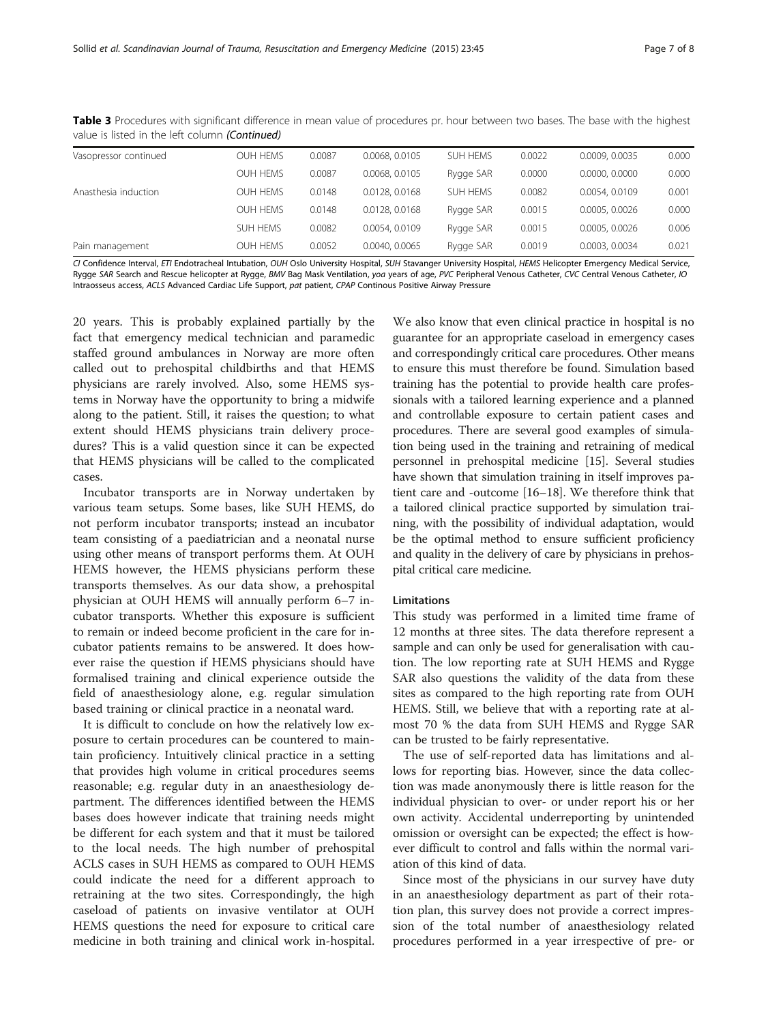| Vasopressor continued | OUH HEMS | 0.0087 | 0.0068, 0.0105 | SUH HEMS  | 0.0022 | 0.0009, 0.0035 | 0.000 |
|-----------------------|----------|--------|----------------|-----------|--------|----------------|-------|
|                       | OUH HEMS | 0.0087 | 0.0068, 0.0105 | Rygge SAR | 0.0000 | 0.0000, 0.0000 | 0.000 |
| Anasthesia induction  | OUH HEMS | 0.0148 | 0.0128, 0.0168 | SUH HEMS  | 0.0082 | 0.0054, 0.0109 | 0.001 |
|                       | OUH HEMS | 0.0148 | 0.0128, 0.0168 | Rygge SAR | 0.0015 | 0.0005, 0.0026 | 0.000 |
|                       | SUH HEMS | 0.0082 | 0.0054, 0.0109 | Rygge SAR | 0.0015 | 0.0005, 0.0026 | 0.006 |
| Pain management       | OUH HEMS | 0.0052 | 0.0040, 0.0065 | Rygge SAR | 0.0019 | 0.0003, 0.0034 | 0.021 |

Table 3 Procedures with significant difference in mean value of procedures pr. hour between two bases. The base with the highest value is listed in the left column (Continued)

CI Confidence Interval, ETI Endotracheal Intubation, OUH Oslo University Hospital, SUH Stavanger University Hospital, HEMS Helicopter Emergency Medical Service, Rygge SAR Search and Rescue helicopter at Rygge, BMV Bag Mask Ventilation, yoa years of age, PVC Peripheral Venous Catheter, CVC Central Venous Catheter, IO Intraosseus access, ACLS Advanced Cardiac Life Support, pat patient, CPAP Continous Positive Airway Pressure

20 years. This is probably explained partially by the fact that emergency medical technician and paramedic staffed ground ambulances in Norway are more often called out to prehospital childbirths and that HEMS physicians are rarely involved. Also, some HEMS systems in Norway have the opportunity to bring a midwife along to the patient. Still, it raises the question; to what extent should HEMS physicians train delivery procedures? This is a valid question since it can be expected that HEMS physicians will be called to the complicated cases.

Incubator transports are in Norway undertaken by various team setups. Some bases, like SUH HEMS, do not perform incubator transports; instead an incubator team consisting of a paediatrician and a neonatal nurse using other means of transport performs them. At OUH HEMS however, the HEMS physicians perform these transports themselves. As our data show, a prehospital physician at OUH HEMS will annually perform 6–7 incubator transports. Whether this exposure is sufficient to remain or indeed become proficient in the care for incubator patients remains to be answered. It does however raise the question if HEMS physicians should have formalised training and clinical experience outside the field of anaesthesiology alone, e.g. regular simulation based training or clinical practice in a neonatal ward.

It is difficult to conclude on how the relatively low exposure to certain procedures can be countered to maintain proficiency. Intuitively clinical practice in a setting that provides high volume in critical procedures seems reasonable; e.g. regular duty in an anaesthesiology department. The differences identified between the HEMS bases does however indicate that training needs might be different for each system and that it must be tailored to the local needs. The high number of prehospital ACLS cases in SUH HEMS as compared to OUH HEMS could indicate the need for a different approach to retraining at the two sites. Correspondingly, the high caseload of patients on invasive ventilator at OUH HEMS questions the need for exposure to critical care medicine in both training and clinical work in-hospital.

We also know that even clinical practice in hospital is no guarantee for an appropriate caseload in emergency cases and correspondingly critical care procedures. Other means to ensure this must therefore be found. Simulation based training has the potential to provide health care professionals with a tailored learning experience and a planned and controllable exposure to certain patient cases and procedures. There are several good examples of simulation being used in the training and retraining of medical personnel in prehospital medicine [\[15\]](#page-7-0). Several studies have shown that simulation training in itself improves patient care and -outcome [[16](#page-7-0)–[18\]](#page-7-0). We therefore think that a tailored clinical practice supported by simulation training, with the possibility of individual adaptation, would be the optimal method to ensure sufficient proficiency and quality in the delivery of care by physicians in prehospital critical care medicine.

## Limitations

This study was performed in a limited time frame of 12 months at three sites. The data therefore represent a sample and can only be used for generalisation with caution. The low reporting rate at SUH HEMS and Rygge SAR also questions the validity of the data from these sites as compared to the high reporting rate from OUH HEMS. Still, we believe that with a reporting rate at almost 70 % the data from SUH HEMS and Rygge SAR can be trusted to be fairly representative.

The use of self-reported data has limitations and allows for reporting bias. However, since the data collection was made anonymously there is little reason for the individual physician to over- or under report his or her own activity. Accidental underreporting by unintended omission or oversight can be expected; the effect is however difficult to control and falls within the normal variation of this kind of data.

Since most of the physicians in our survey have duty in an anaesthesiology department as part of their rotation plan, this survey does not provide a correct impression of the total number of anaesthesiology related procedures performed in a year irrespective of pre- or